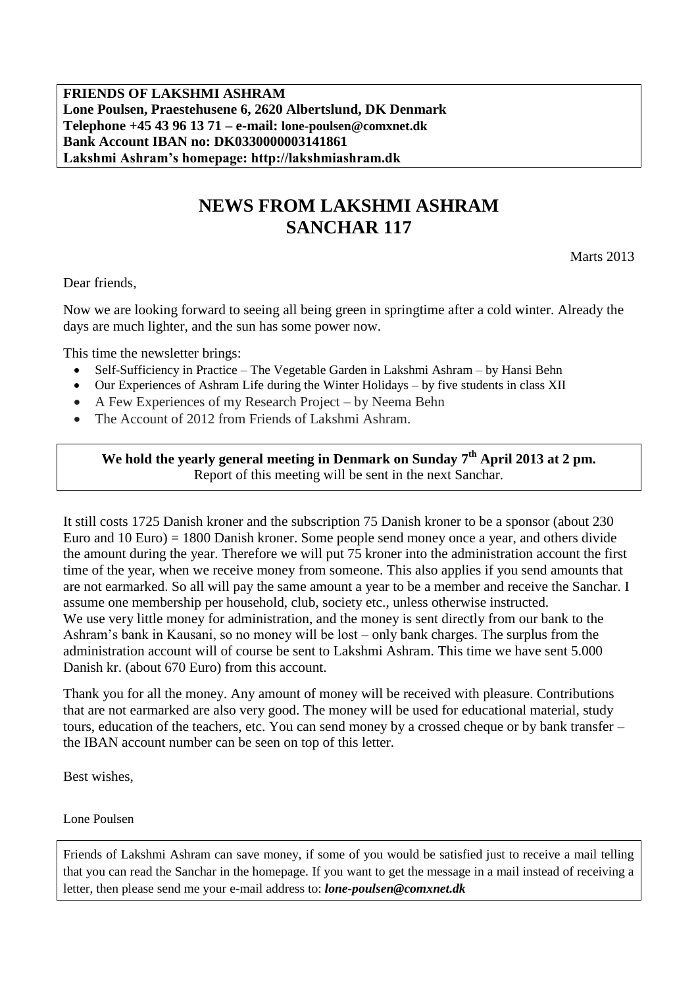**FRIENDS OF LAKSHMI ASHRAM Lone Poulsen, Praestehusene 6, 2620 Albertslund, DK Denmark Telephone +45 43 96 13 71 – e-mail: lone-poulsen@comxnet.dk Bank Account IBAN no: DK0330000003141861 Lakshmi Ashram's homepage: http://lakshmiashram.dk**

# **NEWS FROM LAKSHMI ASHRAM SANCHAR 117**

Marts 2013

Dear friends,

Now we are looking forward to seeing all being green in springtime after a cold winter. Already the days are much lighter, and the sun has some power now.

This time the newsletter brings:

- Self-Sufficiency in Practice The Vegetable Garden in Lakshmi Ashram by Hansi Behn
- Our Experiences of Ashram Life during the Winter Holidays by five students in class XII
- A Few Experiences of my Research Project by Neema Behn
- The Account of 2012 from Friends of Lakshmi Ashram.

### **We hold the yearly general meeting in Denmark on Sunday 7 th April 2013 at 2 pm.** Report of this meeting will be sent in the next Sanchar.

It still costs 1725 Danish kroner and the subscription 75 Danish kroner to be a sponsor (about 230 Euro and 10 Euro) = 1800 Danish kroner. Some people send money once a year, and others divide the amount during the year. Therefore we will put 75 kroner into the administration account the first time of the year, when we receive money from someone. This also applies if you send amounts that are not earmarked. So all will pay the same amount a year to be a member and receive the Sanchar. I assume one membership per household, club, society etc., unless otherwise instructed. We use very little money for administration, and the money is sent directly from our bank to the Ashram's bank in Kausani, so no money will be lost – only bank charges. The surplus from the administration account will of course be sent to Lakshmi Ashram. This time we have sent 5.000 Danish kr. (about 670 Euro) from this account.

Thank you for all the money. Any amount of money will be received with pleasure. Contributions that are not earmarked are also very good. The money will be used for educational material, study tours, education of the teachers, etc. You can send money by a crossed cheque or by bank transfer – the IBAN account number can be seen on top of this letter.

Best wishes,

Lone Poulsen

Friends of Lakshmi Ashram can save money, if some of you would be satisfied just to receive a mail telling that you can read the Sanchar in the homepage. If you want to get the message in a mail instead of receiving a letter, then please send me your e-mail address to: *lone-poulsen@comxnet.dk*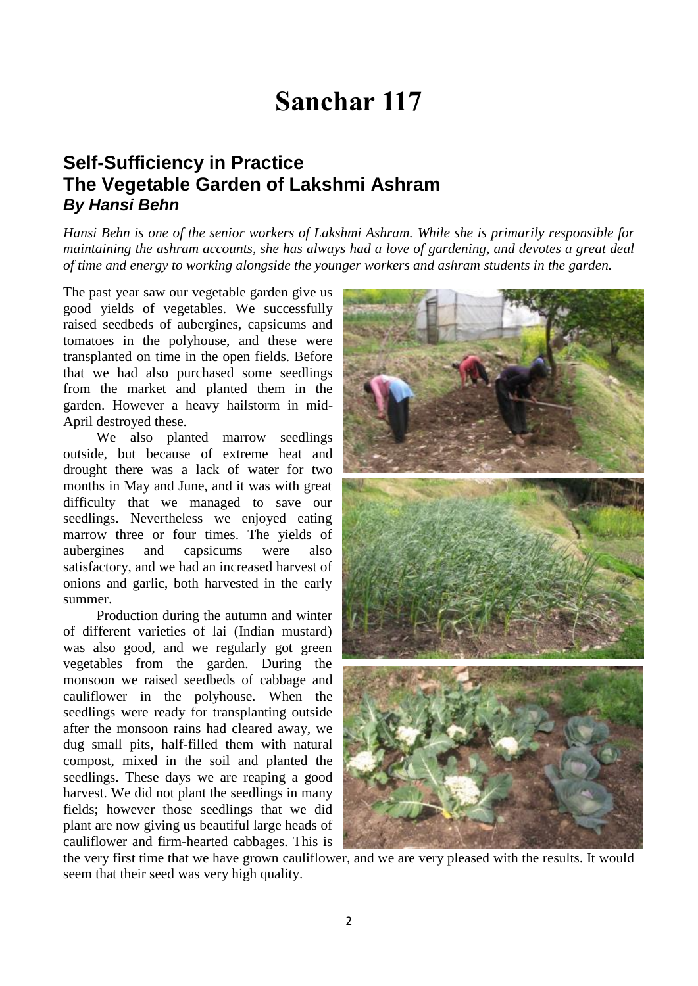# **Sanchar 117**

## **Self-Sufficiency in Practice The Vegetable Garden of Lakshmi Ashram** *By Hansi Behn*

*Hansi Behn is one of the senior workers of Lakshmi Ashram. While she is primarily responsible for maintaining the ashram accounts, she has always had a love of gardening, and devotes a great deal of time and energy to working alongside the younger workers and ashram students in the garden.*

The past year saw our vegetable garden give us good yields of vegetables. We successfully raised seedbeds of aubergines, capsicums and tomatoes in the polyhouse, and these were transplanted on time in the open fields. Before that we had also purchased some seedlings from the market and planted them in the garden. However a heavy hailstorm in mid-April destroyed these.

We also planted marrow seedlings outside, but because of extreme heat and drought there was a lack of water for two months in May and June, and it was with great difficulty that we managed to save our seedlings. Nevertheless we enjoyed eating marrow three or four times. The yields of aubergines and capsicums were also satisfactory, and we had an increased harvest of onions and garlic, both harvested in the early summer.

Production during the autumn and winter of different varieties of lai (Indian mustard) was also good, and we regularly got green vegetables from the garden. During the monsoon we raised seedbeds of cabbage and cauliflower in the polyhouse. When the seedlings were ready for transplanting outside after the monsoon rains had cleared away, we dug small pits, half-filled them with natural compost, mixed in the soil and planted the seedlings. These days we are reaping a good harvest. We did not plant the seedlings in many fields; however those seedlings that we did plant are now giving us beautiful large heads of cauliflower and firm-hearted cabbages. This is



the very first time that we have grown cauliflower, and we are very pleased with the results. It would seem that their seed was very high quality.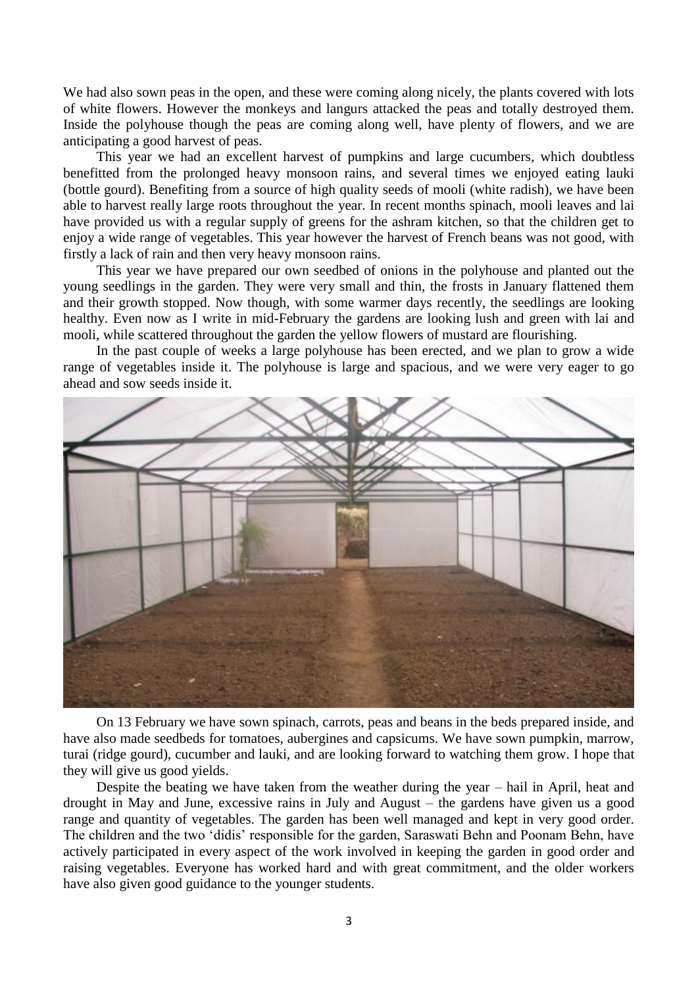We had also sown peas in the open, and these were coming along nicely, the plants covered with lots of white flowers. However the monkeys and langurs attacked the peas and totally destroyed them. Inside the polyhouse though the peas are coming along well, have plenty of flowers, and we are anticipating a good harvest of peas.

This year we had an excellent harvest of pumpkins and large cucumbers, which doubtless benefitted from the prolonged heavy monsoon rains, and several times we enjoyed eating lauki (bottle gourd). Benefiting from a source of high quality seeds of mooli (white radish), we have been able to harvest really large roots throughout the year. In recent months spinach, mooli leaves and lai have provided us with a regular supply of greens for the ashram kitchen, so that the children get to enjoy a wide range of vegetables. This year however the harvest of French beans was not good, with firstly a lack of rain and then very heavy monsoon rains.

This year we have prepared our own seedbed of onions in the polyhouse and planted out the young seedlings in the garden. They were very small and thin, the frosts in January flattened them and their growth stopped. Now though, with some warmer days recently, the seedlings are looking healthy. Even now as I write in mid-February the gardens are looking lush and green with lai and mooli, while scattered throughout the garden the yellow flowers of mustard are flourishing.

In the past couple of weeks a large polyhouse has been erected, and we plan to grow a wide range of vegetables inside it. The polyhouse is large and spacious, and we were very eager to go ahead and sow seeds inside it.



On 13 February we have sown spinach, carrots, peas and beans in the beds prepared inside, and have also made seedbeds for tomatoes, aubergines and capsicums. We have sown pumpkin, marrow, turai (ridge gourd), cucumber and lauki, and are looking forward to watching them grow. I hope that they will give us good yields.

Despite the beating we have taken from the weather during the year – hail in April, heat and drought in May and June, excessive rains in July and August – the gardens have given us a good range and quantity of vegetables. The garden has been well managed and kept in very good order. The children and the two 'didis' responsible for the garden, Saraswati Behn and Poonam Behn, have actively participated in every aspect of the work involved in keeping the garden in good order and raising vegetables. Everyone has worked hard and with great commitment, and the older workers have also given good guidance to the younger students.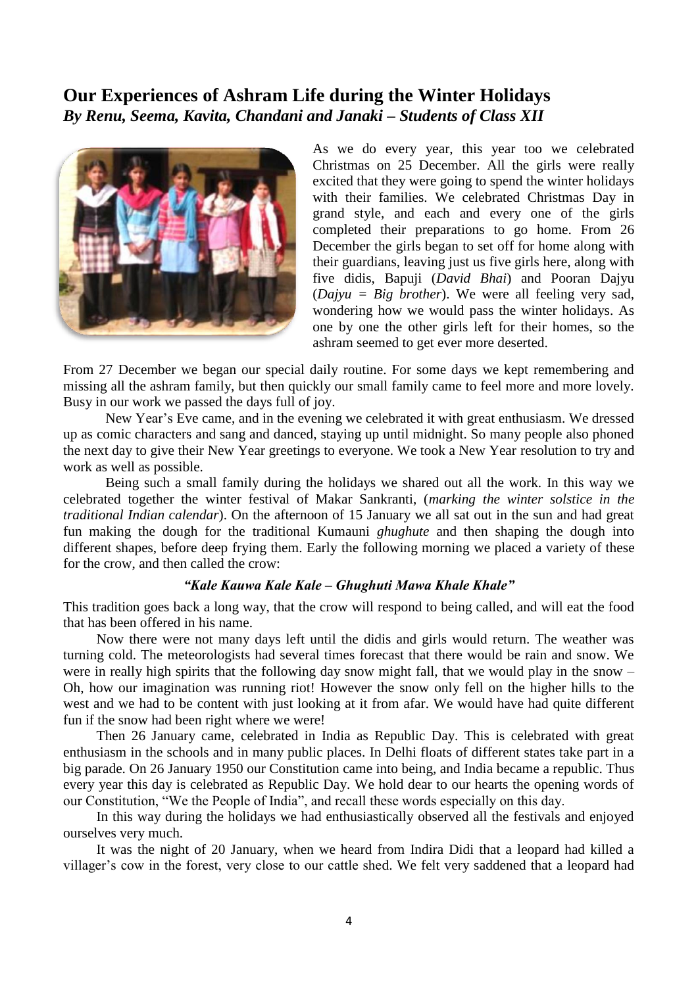### **Our Experiences of Ashram Life during the Winter Holidays** *By Renu, Seema, Kavita, Chandani and Janaki – Students of Class XII*



As we do every year, this year too we celebrated Christmas on 25 December. All the girls were really excited that they were going to spend the winter holidays with their families. We celebrated Christmas Day in grand style, and each and every one of the girls completed their preparations to go home. From 26 December the girls began to set off for home along with their guardians, leaving just us five girls here, along with five didis, Bapuji (*David Bhai*) and Pooran Dajyu (*Dajyu = Big brother*). We were all feeling very sad, wondering how we would pass the winter holidays. As one by one the other girls left for their homes, so the ashram seemed to get ever more deserted.

From 27 December we began our special daily routine. For some days we kept remembering and missing all the ashram family, but then quickly our small family came to feel more and more lovely. Busy in our work we passed the days full of joy.

New Year's Eve came, and in the evening we celebrated it with great enthusiasm. We dressed up as comic characters and sang and danced, staying up until midnight. So many people also phoned the next day to give their New Year greetings to everyone. We took a New Year resolution to try and work as well as possible.

Being such a small family during the holidays we shared out all the work. In this way we celebrated together the winter festival of Makar Sankranti, (*marking the winter solstice in the traditional Indian calendar*). On the afternoon of 15 January we all sat out in the sun and had great fun making the dough for the traditional Kumauni *ghughute* and then shaping the dough into different shapes, before deep frying them. Early the following morning we placed a variety of these for the crow, and then called the crow:

#### *"Kale Kauwa Kale Kale – Ghughuti Mawa Khale Khale"*

This tradition goes back a long way, that the crow will respond to being called, and will eat the food that has been offered in his name.

Now there were not many days left until the didis and girls would return. The weather was turning cold. The meteorologists had several times forecast that there would be rain and snow. We were in really high spirits that the following day snow might fall, that we would play in the snow – Oh, how our imagination was running riot! However the snow only fell on the higher hills to the west and we had to be content with just looking at it from afar. We would have had quite different fun if the snow had been right where we were!

Then 26 January came, celebrated in India as Republic Day. This is celebrated with great enthusiasm in the schools and in many public places. In Delhi floats of different states take part in a big parade. On 26 January 1950 our Constitution came into being, and India became a republic. Thus every year this day is celebrated as Republic Day. We hold dear to our hearts the opening words of our Constitution, "We the People of India", and recall these words especially on this day.

In this way during the holidays we had enthusiastically observed all the festivals and enjoyed ourselves very much.

It was the night of 20 January, when we heard from Indira Didi that a leopard had killed a villager's cow in the forest, very close to our cattle shed. We felt very saddened that a leopard had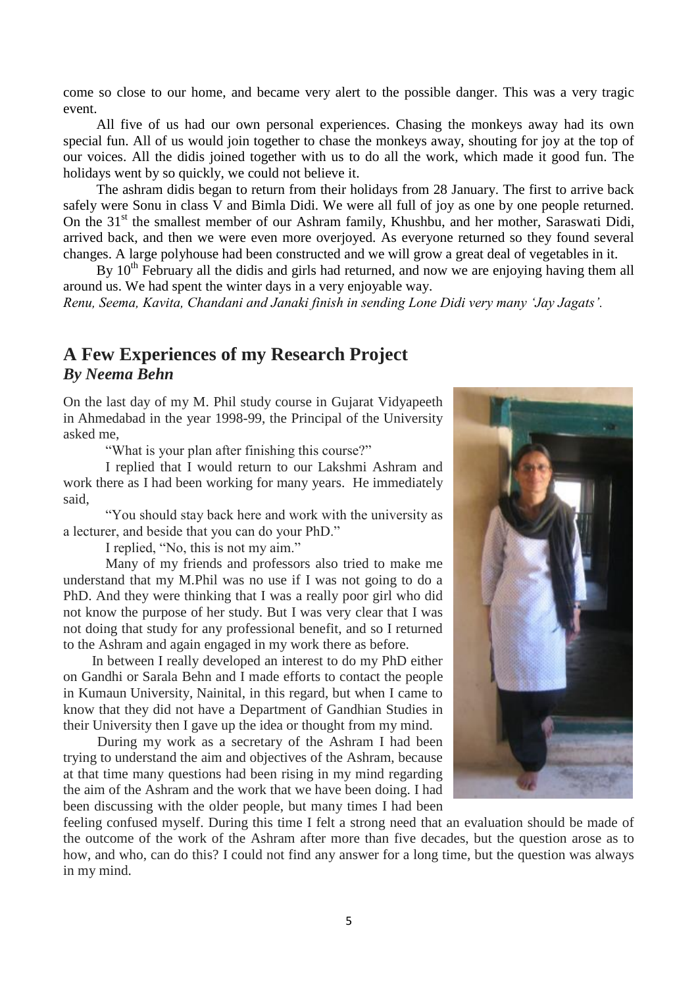come so close to our home, and became very alert to the possible danger. This was a very tragic event.

All five of us had our own personal experiences. Chasing the monkeys away had its own special fun. All of us would join together to chase the monkeys away, shouting for joy at the top of our voices. All the didis joined together with us to do all the work, which made it good fun. The holidays went by so quickly, we could not believe it.

The ashram didis began to return from their holidays from 28 January. The first to arrive back safely were Sonu in class V and Bimla Didi. We were all full of joy as one by one people returned. On the 31<sup>st</sup> the smallest member of our Ashram family, Khushbu, and her mother, Saraswati Didi, arrived back, and then we were even more overjoyed. As everyone returned so they found several changes. A large polyhouse had been constructed and we will grow a great deal of vegetables in it.

By  $10<sup>th</sup>$  February all the didis and girls had returned, and now we are enjoying having them all around us. We had spent the winter days in a very enjoyable way.

*Renu, Seema, Kavita, Chandani and Janaki finish in sending Lone Didi very many 'Jay Jagats'.*

### **A Few Experiences of my Research Project** *By Neema Behn*

On the last day of my M. Phil study course in Gujarat Vidyapeeth in Ahmedabad in the year 1998-99, the Principal of the University asked me,

"What is your plan after finishing this course?"

I replied that I would return to our Lakshmi Ashram and work there as I had been working for many years. He immediately said,

"You should stay back here and work with the university as a lecturer, and beside that you can do your PhD."

I replied, "No, this is not my aim."

Many of my friends and professors also tried to make me understand that my M.Phil was no use if I was not going to do a PhD. And they were thinking that I was a really poor girl who did not know the purpose of her study. But I was very clear that I was not doing that study for any professional benefit, and so I returned to the Ashram and again engaged in my work there as before.

 In between I really developed an interest to do my PhD either on Gandhi or Sarala Behn and I made efforts to contact the people in Kumaun University, Nainital, in this regard, but when I came to know that they did not have a Department of Gandhian Studies in their University then I gave up the idea or thought from my mind.

 During my work as a secretary of the Ashram I had been trying to understand the aim and objectives of the Ashram, because at that time many questions had been rising in my mind regarding the aim of the Ashram and the work that we have been doing. I had been discussing with the older people, but many times I had been



feeling confused myself. During this time I felt a strong need that an evaluation should be made of the outcome of the work of the Ashram after more than five decades, but the question arose as to how, and who, can do this? I could not find any answer for a long time, but the question was always in my mind.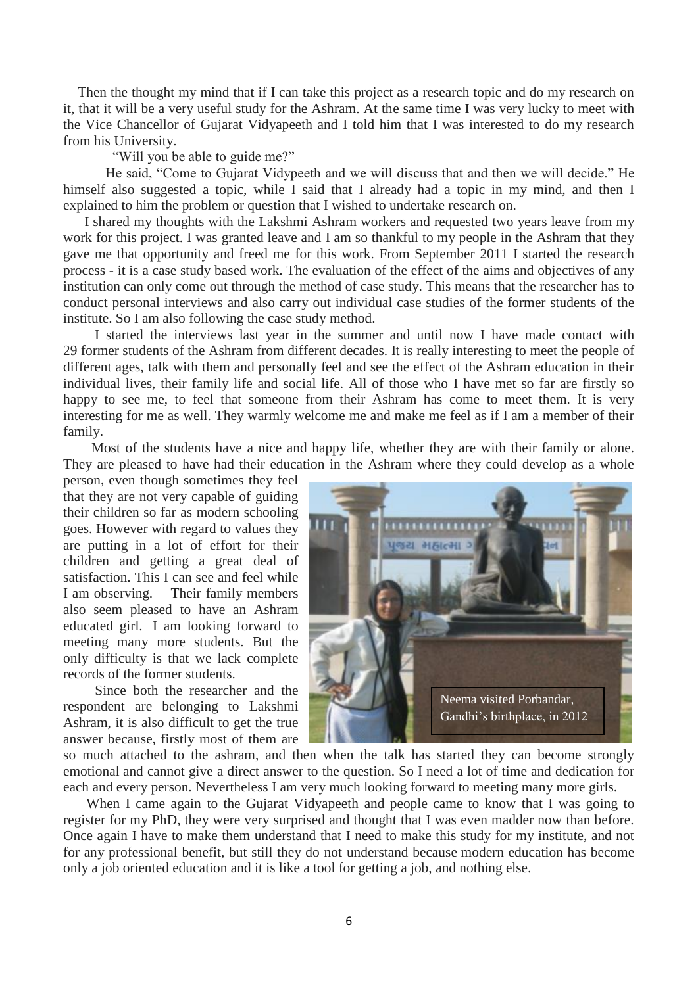Then the thought my mind that if I can take this project as a research topic and do my research on it, that it will be a very useful study for the Ashram. At the same time I was very lucky to meet with the Vice Chancellor of Gujarat Vidyapeeth and I told him that I was interested to do my research from his University.

"Will you be able to guide me?"

He said, "Come to Gujarat Vidypeeth and we will discuss that and then we will decide." He himself also suggested a topic, while I said that I already had a topic in my mind, and then I explained to him the problem or question that I wished to undertake research on.

 I shared my thoughts with the Lakshmi Ashram workers and requested two years leave from my work for this project. I was granted leave and I am so thankful to my people in the Ashram that they gave me that opportunity and freed me for this work. From September 2011 I started the research process - it is a case study based work. The evaluation of the effect of the aims and objectives of any institution can only come out through the method of case study. This means that the researcher has to conduct personal interviews and also carry out individual case studies of the former students of the institute. So I am also following the case study method.

 I started the interviews last year in the summer and until now I have made contact with 29 former students of the Ashram from different decades. It is really interesting to meet the people of different ages, talk with them and personally feel and see the effect of the Ashram education in their individual lives, their family life and social life. All of those who I have met so far are firstly so happy to see me, to feel that someone from their Ashram has come to meet them. It is very interesting for me as well. They warmly welcome me and make me feel as if I am a member of their family.

 Most of the students have a nice and happy life, whether they are with their family or alone. They are pleased to have had their education in the Ashram where they could develop as a whole

person, even though sometimes they feel that they are not very capable of guiding their children so far as modern schooling goes. However with regard to values they are putting in a lot of effort for their children and getting a great deal of satisfaction. This I can see and feel while I am observing. Their family members also seem pleased to have an Ashram educated girl. I am looking forward to meeting many more students. But the only difficulty is that we lack complete records of the former students.

 Since both the researcher and the respondent are belonging to Lakshmi Ashram, it is also difficult to get the true answer because, firstly most of them are



so much attached to the ashram, and then when the talk has started they can become strongly emotional and cannot give a direct answer to the question. So I need a lot of time and dedication for each and every person. Nevertheless I am very much looking forward to meeting many more girls.

When I came again to the Gujarat Vidyapeeth and people came to know that I was going to register for my PhD, they were very surprised and thought that I was even madder now than before. Once again I have to make them understand that I need to make this study for my institute, and not for any professional benefit, but still they do not understand because modern education has become only a job oriented education and it is like a tool for getting a job, and nothing else.